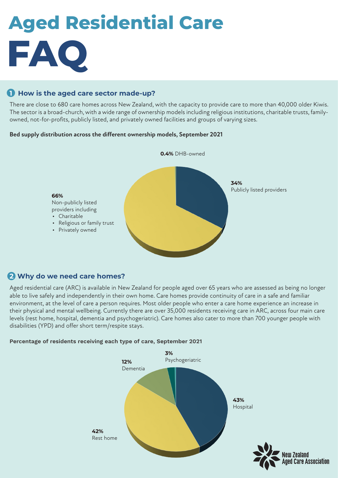# **FAQ Aged Residential Care**

# **1 How is the aged care sector made-up?**

There are close to 680 care homes across New Zealand, with the capacity to provide care to more than 40,000 older Kiwis. The sector is a broad-church, with a wide range of ownership models including religious institutions, charitable trusts, familyowned, not-for-profits, publicly listed, and privately owned facilities and groups of varying sizes.

#### **Bed supply distribution across the different ownership models, September 2021**



# **2 Why do we need care homes?**

Aged residential care (ARC) is available in New Zealand for people aged over 65 years who are assessed as being no longer able to live safely and independently in their own home. Care homes provide continuity of care in a safe and familiar environment, at the level of care a person requires. Most older people who enter a care home experience an increase in their physical and mental wellbeing. Currently there are over 35,000 residents receiving care in ARC, across four main care levels (rest home, hospital, dementia and psychogeriatric). Care homes also cater to more than 700 younger people with disabilities (YPD) and offer short term/respite stays.

#### **Percentage of residents receiving each type of care, September 2021**